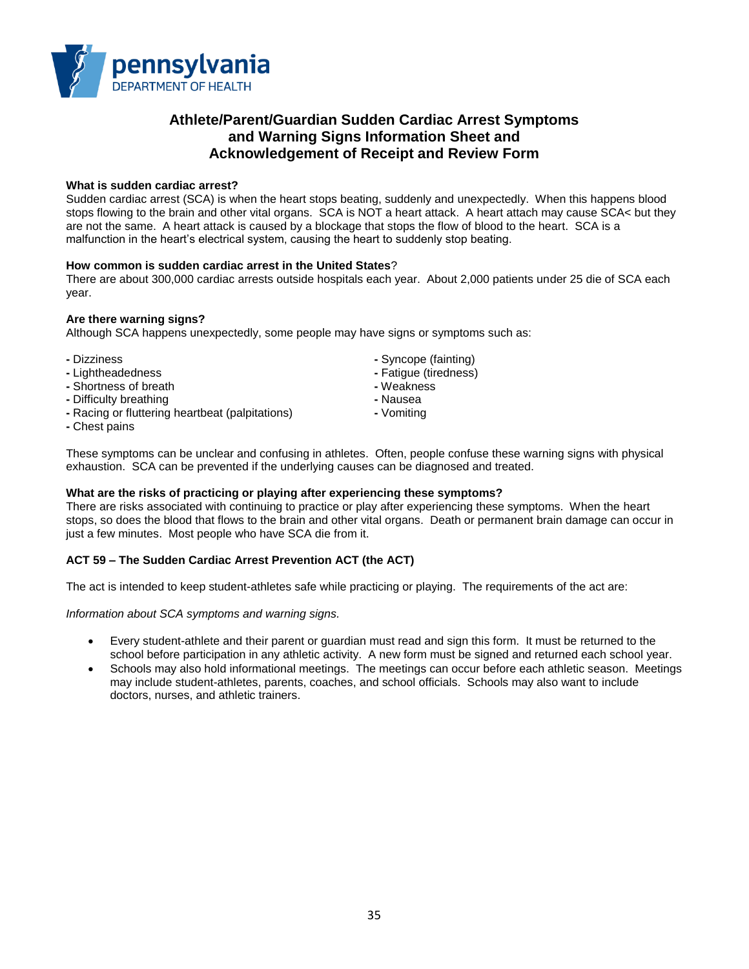

# **Athlete/Parent/Guardian Sudden Cardiac Arrest Symptoms and Warning Signs Information Sheet and Acknowledgement of Receipt and Review Form**

## **What is sudden cardiac arrest?**

Sudden cardiac arrest (SCA) is when the heart stops beating, suddenly and unexpectedly. When this happens blood stops flowing to the brain and other vital organs. SCA is NOT a heart attack. A heart attach may cause SCA< but they are not the same. A heart attack is caused by a blockage that stops the flow of blood to the heart. SCA is a malfunction in the heart's electrical system, causing the heart to suddenly stop beating.

## **How common is sudden cardiac arrest in the United States**?

There are about 300,000 cardiac arrests outside hospitals each year. About 2,000 patients under 25 die of SCA each year.

## **Are there warning signs?**

Although SCA happens unexpectedly, some people may have signs or symptoms such as:

- 
- **-** Lightheadedness **-** Fatigue (tiredness)
- **-** Shortness of breath
- **-** Difficulty breathing **-** Nausea
- **-** Racing or fluttering heartbeat (palpitations) **-** Vomiting
- **-** Chest pains
- **-** Dizziness **-** Syncope (fainting)
	-
	-
	-

These symptoms can be unclear and confusing in athletes. Often, people confuse these warning signs with physical exhaustion. SCA can be prevented if the underlying causes can be diagnosed and treated.

## **What are the risks of practicing or playing after experiencing these symptoms?**

There are risks associated with continuing to practice or play after experiencing these symptoms. When the heart stops, so does the blood that flows to the brain and other vital organs. Death or permanent brain damage can occur in just a few minutes. Most people who have SCA die from it.

## **ACT 59 – The Sudden Cardiac Arrest Prevention ACT (the ACT)**

The act is intended to keep student-athletes safe while practicing or playing. The requirements of the act are:

*Information about SCA symptoms and warning signs.*

- Every student-athlete and their parent or guardian must read and sign this form. It must be returned to the school before participation in any athletic activity. A new form must be signed and returned each school year.
- Schools may also hold informational meetings. The meetings can occur before each athletic season. Meetings may include student-athletes, parents, coaches, and school officials. Schools may also want to include doctors, nurses, and athletic trainers.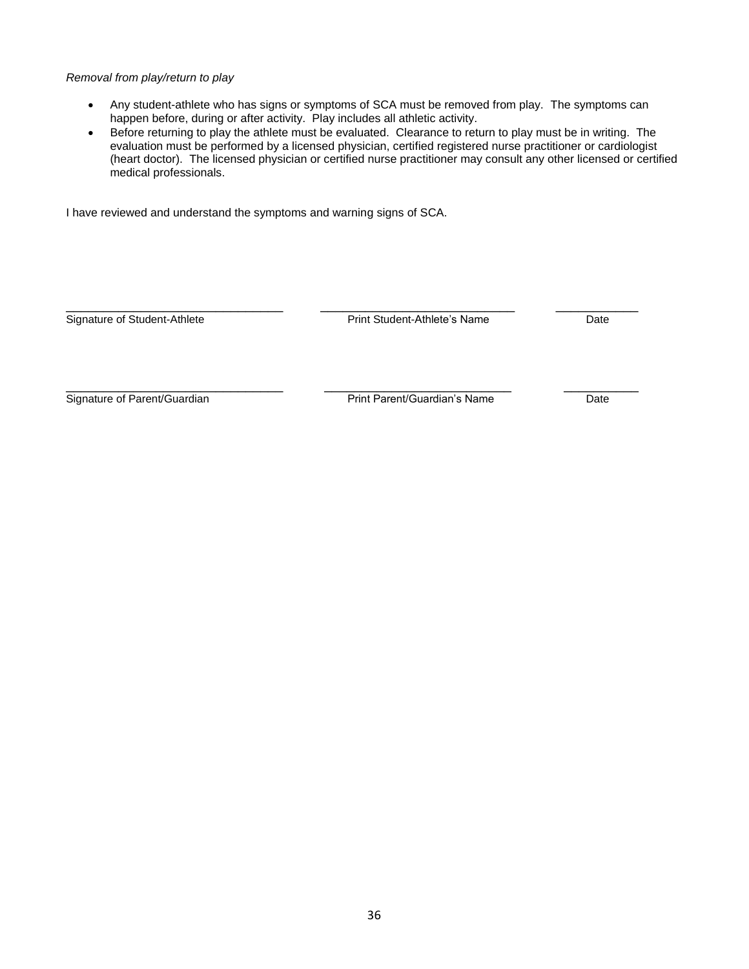## *Removal from play/return to play*

- Any student-athlete who has signs or symptoms of SCA must be removed from play. The symptoms can happen before, during or after activity. Play includes all athletic activity.
- Before returning to play the athlete must be evaluated. Clearance to return to play must be in writing. The evaluation must be performed by a licensed physician, certified registered nurse practitioner or cardiologist (heart doctor). The licensed physician or certified nurse practitioner may consult any other licensed or certified medical professionals.

I have reviewed and understand the symptoms and warning signs of SCA.

\_\_\_\_\_\_\_\_\_\_\_\_\_\_\_\_\_\_\_\_\_\_\_\_\_\_\_\_\_ \_\_\_\_\_\_\_\_\_\_\_\_\_\_\_\_\_\_\_\_\_\_\_\_\_\_ \_\_\_\_\_\_\_\_\_\_\_ Signature of Student-Athlete **Print Student-Athlete's Name** Date

\_\_\_\_\_\_\_\_\_\_\_\_\_\_\_\_\_\_\_\_\_\_\_\_\_\_\_\_\_ \_\_\_\_\_\_\_\_\_\_\_\_\_\_\_\_\_\_\_\_\_\_\_\_\_ \_\_\_\_\_\_\_\_\_\_ Signature of Parent/Guardian Date Print Parent/Guardian's Name Date